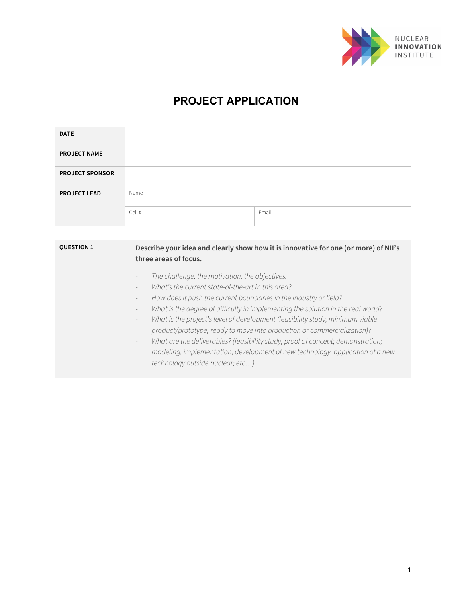

## **PROJECT APPLICATION**

| <b>DATE</b>            |        |       |
|------------------------|--------|-------|
| <b>PROJECT NAME</b>    |        |       |
| <b>PROJECT SPONSOR</b> |        |       |
| <b>PROJECT LEAD</b>    | Name   |       |
|                        | Cell # | Email |

| <b>QUESTION 1</b> | Describe your idea and clearly show how it is innovative for one (or more) of NII's<br>three areas of focus.                                                                                                                                                                                                                                                                                                                                                                                                                                                                                                                                                                             |
|-------------------|------------------------------------------------------------------------------------------------------------------------------------------------------------------------------------------------------------------------------------------------------------------------------------------------------------------------------------------------------------------------------------------------------------------------------------------------------------------------------------------------------------------------------------------------------------------------------------------------------------------------------------------------------------------------------------------|
|                   | The challenge, the motivation, the objectives.<br>What's the current state-of-the-art in this area?<br>How does it push the current boundaries in the industry or field?<br>$\overline{\phantom{a}}$<br>What is the degree of difficulty in implementing the solution in the real world?<br>$\overline{\phantom{a}}$<br>What is the project's level of development (feasibility study, minimum viable<br>product/prototype, ready to move into production or commercialization)?<br>What are the deliverables? (feasibility study; proof of concept; demonstration;<br>modeling; implementation; development of new technology; application of a new<br>technology outside nuclear; etc) |
|                   |                                                                                                                                                                                                                                                                                                                                                                                                                                                                                                                                                                                                                                                                                          |
|                   |                                                                                                                                                                                                                                                                                                                                                                                                                                                                                                                                                                                                                                                                                          |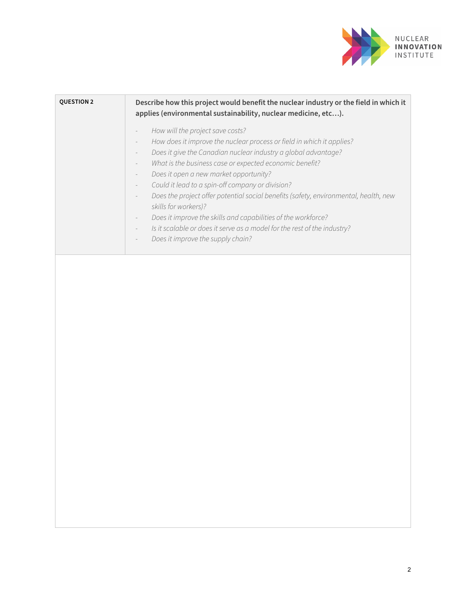

| <b>QUESTION 2</b> | Describe how this project would benefit the nuclear industry or the field in which it<br>applies (environmental sustainability, nuclear medicine, etc).                                                                                                                                                                                                                                                                                                                                                                                                                                                                                                                                                                    |
|-------------------|----------------------------------------------------------------------------------------------------------------------------------------------------------------------------------------------------------------------------------------------------------------------------------------------------------------------------------------------------------------------------------------------------------------------------------------------------------------------------------------------------------------------------------------------------------------------------------------------------------------------------------------------------------------------------------------------------------------------------|
|                   | How will the project save costs?<br>How does it improve the nuclear process or field in which it applies?<br>$\overline{\phantom{a}}$<br>Does it give the Canadian nuclear industry a global advantage?<br>What is the business case or expected economic benefit?<br>$\overline{\phantom{a}}$<br>Does it open a new market opportunity?<br>Could it lead to a spin-off company or division?<br>$\overline{\phantom{a}}$<br>Does the project offer potential social benefits (safety, environmental, health, new<br>skills for workers)?<br>Does it improve the skills and capabilities of the workforce?<br>Is it scalable or does it serve as a model for the rest of the industry?<br>Does it improve the supply chain? |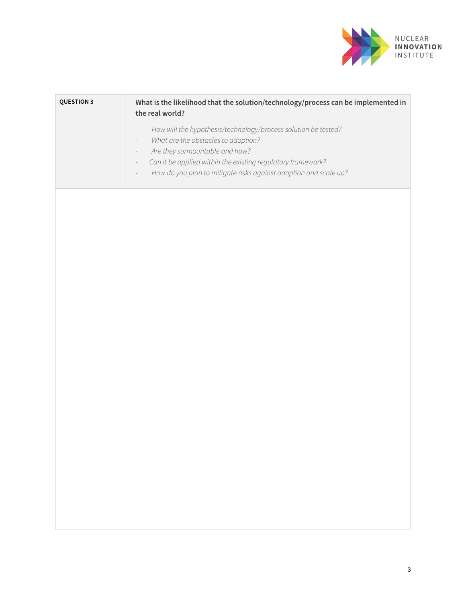

| <b>QUESTION 3</b> | What is the likelihood that the solution/technology/process can be implemented in<br>the real world?                                                                                                                                                                                                                                                                                                   |
|-------------------|--------------------------------------------------------------------------------------------------------------------------------------------------------------------------------------------------------------------------------------------------------------------------------------------------------------------------------------------------------------------------------------------------------|
|                   | How will the hypothesis/technology/process solution be tested?<br>$\overline{\phantom{0}}$<br>What are the obstacles to adoption?<br>$\overline{\phantom{0}}$<br>Are they surmountable and how?<br>$\overline{\phantom{0}}$<br>Can it be applied within the existing regulatory framework?<br>$\equiv$<br>How do you plan to mitigate risks against adoption and scale up?<br>$\overline{\phantom{0}}$ |
|                   |                                                                                                                                                                                                                                                                                                                                                                                                        |
|                   |                                                                                                                                                                                                                                                                                                                                                                                                        |
|                   |                                                                                                                                                                                                                                                                                                                                                                                                        |
|                   |                                                                                                                                                                                                                                                                                                                                                                                                        |
|                   |                                                                                                                                                                                                                                                                                                                                                                                                        |
|                   |                                                                                                                                                                                                                                                                                                                                                                                                        |
|                   |                                                                                                                                                                                                                                                                                                                                                                                                        |
|                   |                                                                                                                                                                                                                                                                                                                                                                                                        |
|                   |                                                                                                                                                                                                                                                                                                                                                                                                        |
|                   |                                                                                                                                                                                                                                                                                                                                                                                                        |
|                   |                                                                                                                                                                                                                                                                                                                                                                                                        |
|                   |                                                                                                                                                                                                                                                                                                                                                                                                        |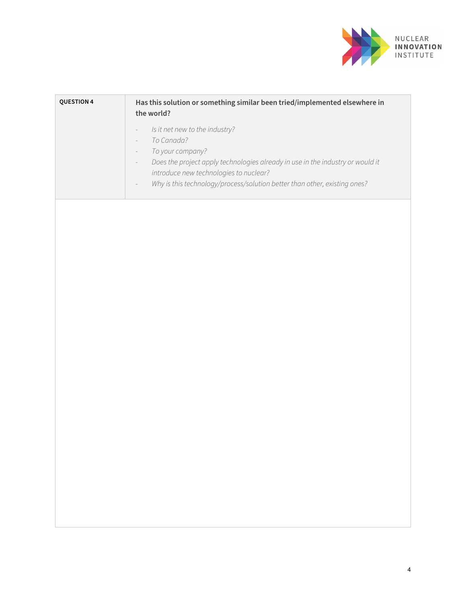

| <b>QUESTION 4</b> | Has this solution or something similar been tried/implemented elsewhere in<br>the world?                                                                                                                                                                                                                                                                                                  |
|-------------------|-------------------------------------------------------------------------------------------------------------------------------------------------------------------------------------------------------------------------------------------------------------------------------------------------------------------------------------------------------------------------------------------|
|                   | Is it net new to the industry?<br>$\overline{\phantom{0}}$<br>To Canada?<br>$\overline{\phantom{a}}$<br>To your company?<br>$\overline{\phantom{a}}$<br>Does the project apply technologies already in use in the industry or would it<br>$\overline{\phantom{a}}$<br>introduce new technologies to nuclear?<br>Why is this technology/process/solution better than other, existing ones? |
|                   |                                                                                                                                                                                                                                                                                                                                                                                           |
|                   |                                                                                                                                                                                                                                                                                                                                                                                           |
|                   |                                                                                                                                                                                                                                                                                                                                                                                           |
|                   |                                                                                                                                                                                                                                                                                                                                                                                           |
|                   |                                                                                                                                                                                                                                                                                                                                                                                           |
|                   |                                                                                                                                                                                                                                                                                                                                                                                           |
|                   |                                                                                                                                                                                                                                                                                                                                                                                           |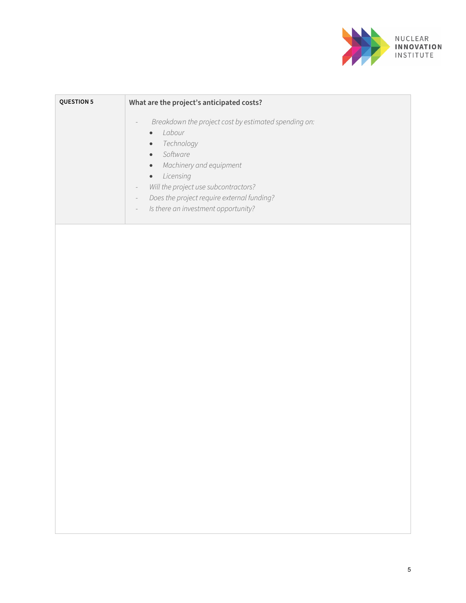

| <b>QUESTION 5</b> | What are the project's anticipated costs?                                                                                                                                                                                                                                                                                                                                                                                                  |
|-------------------|--------------------------------------------------------------------------------------------------------------------------------------------------------------------------------------------------------------------------------------------------------------------------------------------------------------------------------------------------------------------------------------------------------------------------------------------|
|                   | Breakdown the project cost by estimated spending on:<br>$\overline{\phantom{0}}$<br>Labour<br>$\bullet$<br>Technology<br>$\bullet$<br>Software<br>$\bullet$<br>Machinery and equipment<br>$\bullet$<br>Licensing<br>$\bullet$<br>Will the project use subcontractors?<br>$\overline{\phantom{a}}$<br>Does the project require external funding?<br>$\overline{\phantom{a}}$<br>Is there an investment opportunity?<br>$\label{eq:reduced}$ |
|                   |                                                                                                                                                                                                                                                                                                                                                                                                                                            |
|                   |                                                                                                                                                                                                                                                                                                                                                                                                                                            |
|                   |                                                                                                                                                                                                                                                                                                                                                                                                                                            |
|                   |                                                                                                                                                                                                                                                                                                                                                                                                                                            |
|                   |                                                                                                                                                                                                                                                                                                                                                                                                                                            |
|                   |                                                                                                                                                                                                                                                                                                                                                                                                                                            |
|                   |                                                                                                                                                                                                                                                                                                                                                                                                                                            |
|                   |                                                                                                                                                                                                                                                                                                                                                                                                                                            |
|                   |                                                                                                                                                                                                                                                                                                                                                                                                                                            |
|                   |                                                                                                                                                                                                                                                                                                                                                                                                                                            |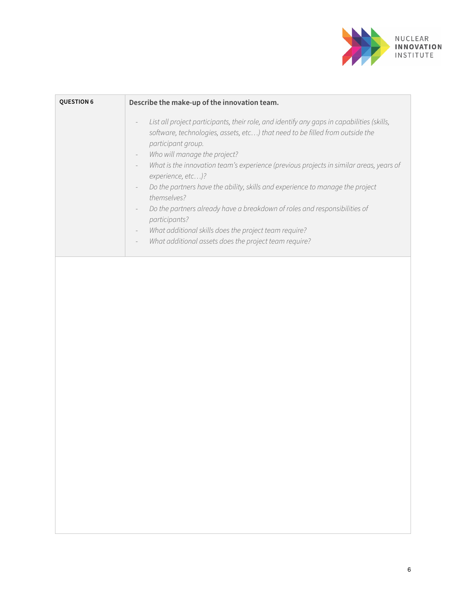

| <b>QUESTION 6</b> | Describe the make-up of the innovation team.                                                                                                                                                                                                                                                                                                                                                                                                                                                                                                                                                                                                                                               |
|-------------------|--------------------------------------------------------------------------------------------------------------------------------------------------------------------------------------------------------------------------------------------------------------------------------------------------------------------------------------------------------------------------------------------------------------------------------------------------------------------------------------------------------------------------------------------------------------------------------------------------------------------------------------------------------------------------------------------|
|                   | List all project participants, their role, and identify any gaps in capabilities (skills,<br>software, technologies, assets, etc) that need to be filled from outside the<br>participant group.<br>Who will manage the project?<br>What is the innovation team's experience (previous projects in similar areas, years of<br>experience, etc)?<br>Do the partners have the ability, skills and experience to manage the project<br>themselves?<br>Do the partners already have a breakdown of roles and responsibilities of<br>participants?<br>What additional skills does the project team require?<br>What additional assets does the project team require?<br>$\overline{\phantom{a}}$ |
|                   |                                                                                                                                                                                                                                                                                                                                                                                                                                                                                                                                                                                                                                                                                            |